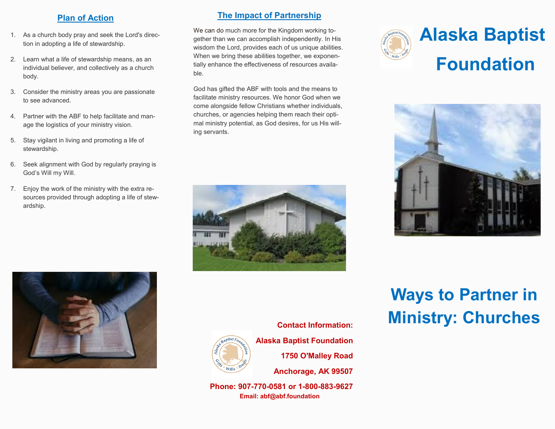#### **Plan of Action**

- 1. As a church body pray and seek the Lord's direction in adopting a life of stewardship.
- 2. Learn what a life of stewardship means, as an individual believer, and collectively as a church body.
- 3. Consider the ministry areas you are passionate to see advanced.
- 4. Partner with the ABF to help facilitate and manage the logistics of your ministry vision.
- 5. Stay vigilant in living and promoting a life of stewardship.
- 6. Seek alignment with God by regularly praying is God's Will my Will.
- 7. Enjoy the work of the ministry with the extra resources provided through adopting a life of stewardship.

### **The Impact of Partnership**

We can do much more for the Kingdom working together than we can accomplish independently. In His wisdom the Lord, provides each of us unique abilities. When we bring these abilities together, we exponentially enhance the effectiveness of resources available.

God has gifted the ABF with tools and the means to facilitate ministry resources. We honor God when we come alongside fellow Christians whether individuals, churches, or agencies helping them reach their optimal ministry potential, as God desires, for us His willing servants.







# **Ways to Partner in Ministry: Churches**



**Contact Information: Alaska Baptist Foundation 1750 O'Malley Road Anchorage, AK 99507**

**Phone: 907-770-0581 or 1-800-883-9627 Email: abf@abf.foundation**